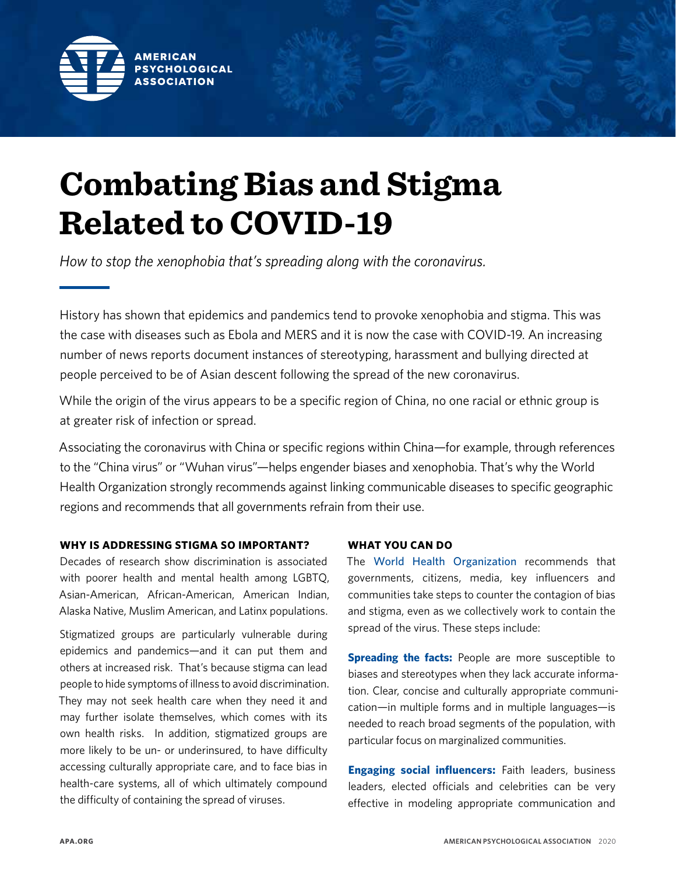

## **Combating Bias and Stigma Related to COVID-19**

*How to stop the xenophobia that's spreading along with the coronavirus.* 

History has shown that epidemics and pandemics tend to provoke xenophobia and stigma. This was the case with diseases such as Ebola and MERS and it is now the case with COVID-19. An increasing number of news reports document instances of stereotyping, harassment and bullying directed at people perceived to be of Asian descent following the spread of the new coronavirus.

While the origin of the virus appears to be a specific region of China, no one racial or ethnic group is at greater risk of infection or spread.

Associating the coronavirus with China or specific regions within China—for example, through references to the "China virus" or "Wuhan virus"—helps engender biases and xenophobia. That's why the World Health Organization strongly recommends against linking communicable diseases to specific geographic regions and recommends that all governments refrain from their use.

## **WHY IS ADDRESSING STIGMA SO IMPORTANT?**

Decades of research show discrimination is associated with poorer health and mental health among LGBTQ, Asian-American, African-American, American Indian, Alaska Native, Muslim American, and Latinx populations.

Stigmatized groups are particularly vulnerable during epidemics and pandemics—and it can put them and others at increased risk. That's because stigma can lead people to hide symptoms of illness to avoid discrimination. They may not seek health care when they need it and may further isolate themselves, which comes with its own [health risks](https://www.apa.org/news/apa/2020/03/covid-19-danger-physical-health). In addition, stigmatized groups are more likely to be un- or underinsured, to have difficulty accessing culturally appropriate care, and to face bias in health-care systems, all of which ultimately compound the difficulty of containing the spread of viruses.

## **WHAT YOU CAN DO**

The [World Health Organization](https://www.who.int/docs/default-source/coronaviruse/covid19-stigma-guide.pdf) recommends that governments, citizens, media, key influencers and communities take steps to counter the contagion of bias and stigma, even as we collectively work to contain the spread of the virus. These steps include:

**Spreading the facts:** People are more susceptible to biases and stereotypes when they lack accurate information. Clear, concise and culturally appropriate communication—in multiple forms and in multiple languages—is needed to reach broad segments of the population, with particular focus on marginalized communities.

**Engaging social influencers:** Faith leaders, business leaders, elected officials and celebrities can be very effective in modeling appropriate communication and